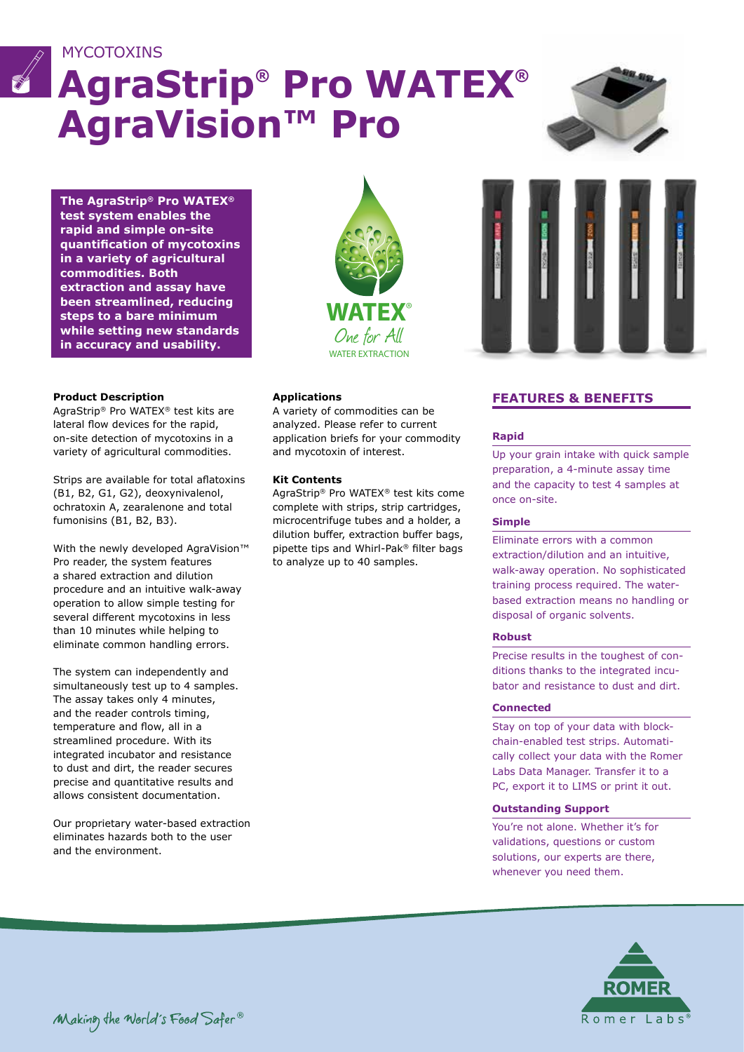

# **AgraStrip® Pro WATEX® AgraVision™ Pro**



**The AgraStrip® Pro WATEX® test system enables the rapid and simple on-site quantification of mycotoxins in a variety of agricultural commodities. Both extraction and assay have been streamlined, reducing steps to a bare minimum while setting new standards in accuracy and usability.**

#### **Product Description**

**MYCOTOXINS** 

AgraStrip® Pro WATEX® test kits are lateral flow devices for the rapid, on-site detection of mycotoxins in a variety of agricultural commodities.

Strips are available for total aflatoxins (B1, B2, G1, G2), deoxynivalenol, ochratoxin A, zearalenone and total fumonisins (B1, B2, B3).

With the newly developed AgraVision™ Pro reader, the system features a shared extraction and dilution procedure and an intuitive walk-away operation to allow simple testing for several different mycotoxins in less than 10 minutes while helping to eliminate common handling errors.

The system can independently and simultaneously test up to 4 samples. The assay takes only 4 minutes, and the reader controls timing, temperature and flow, all in a streamlined procedure. With its integrated incubator and resistance to dust and dirt, the reader secures precise and quantitative results and allows consistent documentation.

Our proprietary water-based extraction eliminates hazards both to the user and the environment.



#### **Applications**

A variety of commodities can be analyzed. Please refer to current application briefs for your commodity and mycotoxin of interest.

#### **Kit Contents**

AgraStrip® Pro WATEX® test kits come complete with strips, strip cartridges, microcentrifuge tubes and a holder, a dilution buffer, extraction buffer bags, pipette tips and Whirl-Pak® filter bags to analyze up to 40 samples.



### **FEATURES & BENEFITS**

#### **Rapid**

Up your grain intake with quick sample preparation, a 4-minute assay time and the capacity to test 4 samples at once on-site.

#### **Simple**

Eliminate errors with a common extraction/dilution and an intuitive, walk-away operation. No sophisticated training process required. The waterbased extraction means no handling or disposal of organic solvents.

#### **Robust**

Precise results in the toughest of conditions thanks to the integrated incubator and resistance to dust and dirt.

#### **Connected**

Stay on top of your data with blockchain-enabled test strips. Automatically collect your data with the Romer Labs Data Manager. Transfer it to a PC, export it to LIMS or print it out.

#### **Outstanding Support**

You're not alone. Whether it's for validations, questions or custom solutions, our experts are there, whenever you need them.